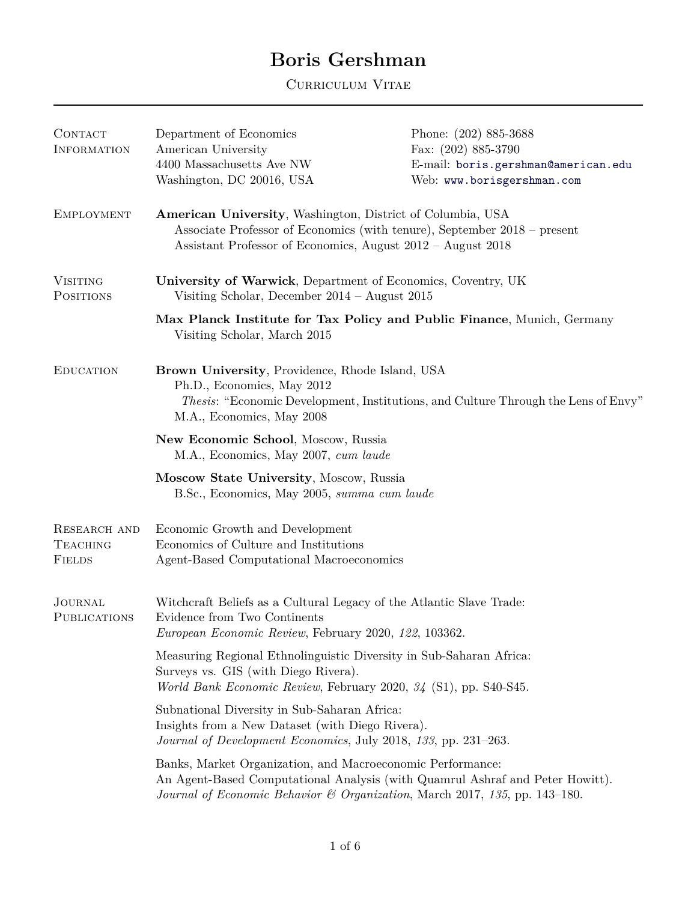## **Boris Gershman**

Curriculum Vitae

| CONTACT<br><b>INFORMATION</b>                           | Department of Economics<br>American University                                                                                                                                                        | Phone: (202) 885-3688<br>Fax: $(202)$ 885-3790                                                                                                              |
|---------------------------------------------------------|-------------------------------------------------------------------------------------------------------------------------------------------------------------------------------------------------------|-------------------------------------------------------------------------------------------------------------------------------------------------------------|
|                                                         | 4400 Massachusetts Ave NW                                                                                                                                                                             | E-mail: boris.gershman@american.edu                                                                                                                         |
|                                                         | Washington, DC 20016, USA                                                                                                                                                                             | Web: www.borisgershman.com                                                                                                                                  |
| <b>EMPLOYMENT</b>                                       | American University, Washington, District of Columbia, USA<br>Associate Professor of Economics (with tenure), September 2018 – present<br>Assistant Professor of Economics, August 2012 - August 2018 |                                                                                                                                                             |
| <b>VISITING</b><br><b>POSITIONS</b>                     | University of Warwick, Department of Economics, Coventry, UK<br>Visiting Scholar, December $2014 -$ August $2015$                                                                                     |                                                                                                                                                             |
|                                                         | Max Planck Institute for Tax Policy and Public Finance, Munich, Germany<br>Visiting Scholar, March 2015                                                                                               |                                                                                                                                                             |
| <b>EDUCATION</b>                                        | Brown University, Providence, Rhode Island, USA<br>Ph.D., Economics, May 2012<br>Thesis: "Economic Development, Institutions, and Culture Through the Lens of Envy"<br>M.A., Economics, May 2008      |                                                                                                                                                             |
|                                                         | New Economic School, Moscow, Russia<br>M.A., Economics, May 2007, cum laude                                                                                                                           |                                                                                                                                                             |
|                                                         | Moscow State University, Moscow, Russia<br>B.Sc., Economics, May 2005, summa cum laude                                                                                                                |                                                                                                                                                             |
| <b>RESEARCH AND</b><br><b>TEACHING</b><br><b>FIELDS</b> | Economic Growth and Development<br>Economics of Culture and Institutions<br>Agent-Based Computational Macroeconomics                                                                                  |                                                                                                                                                             |
| <b>JOURNAL</b><br><b>PUBLICATIONS</b>                   | Witchcraft Beliefs as a Cultural Legacy of the Atlantic Slave Trade:<br>Evidence from Two Continents<br>European Economic Review, February 2020, 122, 103362.                                         |                                                                                                                                                             |
|                                                         | Measuring Regional Ethnolinguistic Diversity in Sub-Saharan Africa:<br>Surveys vs. GIS (with Diego Rivera).<br>World Bank Economic Review, February 2020, 34 (S1), pp. S40-S45.                       |                                                                                                                                                             |
|                                                         | Subnational Diversity in Sub-Saharan Africa:<br>Insights from a New Dataset (with Diego Rivera).<br>Journal of Development Economics, July 2018, 133, pp. 231-263.                                    |                                                                                                                                                             |
|                                                         | Banks, Market Organization, and Macroeconomic Performance:                                                                                                                                            | An Agent-Based Computational Analysis (with Quamrul Ashraf and Peter Howitt).<br>Journal of Economic Behavior & Organization, March 2017, 135, pp. 143-180. |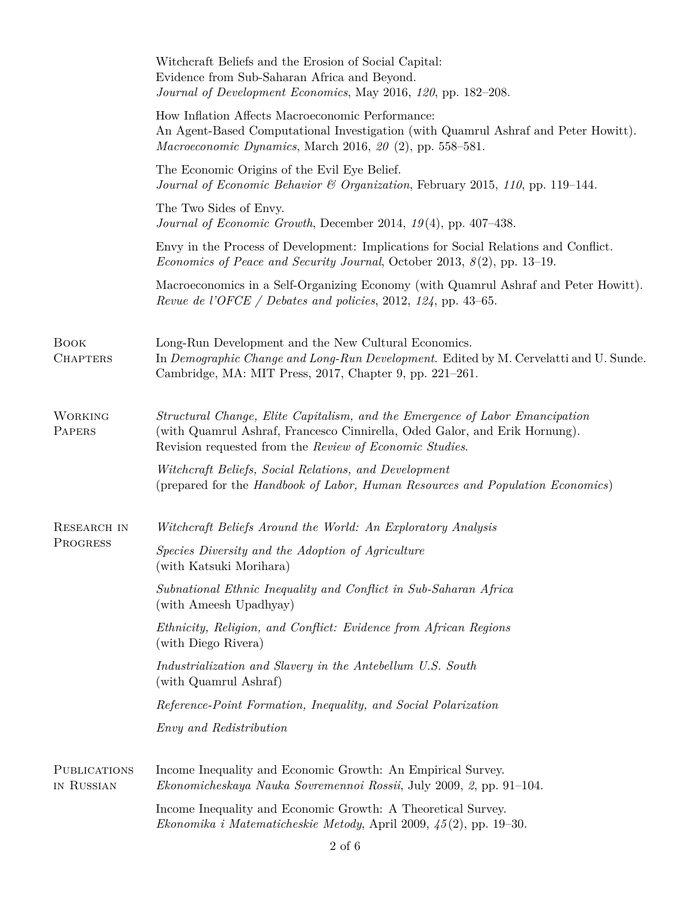|                                   | Witchcraft Beliefs and the Erosion of Social Capital:<br>Evidence from Sub-Saharan Africa and Beyond.<br>Journal of Development Economics, May 2016, 120, pp. 182-208.                                                |
|-----------------------------------|-----------------------------------------------------------------------------------------------------------------------------------------------------------------------------------------------------------------------|
|                                   | How Inflation Affects Macroeconomic Performance:<br>An Agent-Based Computational Investigation (with Quamrul Ashraf and Peter Howitt).<br>Macroeconomic Dynamics, March 2016, $20$ (2), pp. 558–581.                  |
|                                   | The Economic Origins of the Evil Eye Belief.<br>Journal of Economic Behavior & Organization, February 2015, 110, pp. 119–144.                                                                                         |
|                                   | The Two Sides of Envy.<br>Journal of Economic Growth, December 2014, $19(4)$ , pp. 407-438.                                                                                                                           |
|                                   | Envy in the Process of Development: Implications for Social Relations and Conflict.<br><i>Economics of Peace and Security Journal</i> , October 2013, $8(2)$ , pp. 13–19.                                             |
|                                   | Macroeconomics in a Self-Organizing Economy (with Quamrul Ashraf and Peter Howitt).<br>Revue de l'OFCE / Debates and policies, 2012, 124, pp. 43–65.                                                                  |
| <b>BOOK</b><br><b>CHAPTERS</b>    | Long-Run Development and the New Cultural Economics.<br>In Demographic Change and Long-Run Development. Edited by M. Cervelatti and U. Sunde.<br>Cambridge, MA: MIT Press, 2017, Chapter 9, pp. 221–261.              |
| <b>WORKING</b><br>PAPERS          | Structural Change, Elite Capitalism, and the Emergence of Labor Emancipation<br>(with Quamrul Ashraf, Francesco Cinnirella, Oded Galor, and Erik Hornung).<br>Revision requested from the Review of Economic Studies. |
|                                   | Witchcraft Beliefs, Social Relations, and Development<br>(prepared for the Handbook of Labor, Human Resources and Population Economics)                                                                               |
| RESEARCH IN                       | Witchcraft Beliefs Around the World: An Exploratory Analysis                                                                                                                                                          |
| PROGRESS                          | Species Diversity and the Adoption of Agriculture<br>(with Katsuki Morihara)                                                                                                                                          |
|                                   | Subnational Ethnic Inequality and Conflict in Sub-Saharan Africa<br>(with Ameesh Upadhyay)                                                                                                                            |
|                                   | Ethnicity, Religion, and Conflict: Evidence from African Regions<br>(with Diego Rivera)                                                                                                                               |
|                                   | Industrialization and Slavery in the Antebellum U.S. South<br>(with Quamrul Ashraf)                                                                                                                                   |
|                                   | Reference-Point Formation, Inequality, and Social Polarization                                                                                                                                                        |
|                                   | <i>Envy and Redistribution</i>                                                                                                                                                                                        |
| <b>PUBLICATIONS</b><br>IN RUSSIAN | Income Inequality and Economic Growth: An Empirical Survey.<br>Ekonomicheskaya Nauka Sovremennoi Rossii, July 2009, 2, pp. 91–104.                                                                                    |
|                                   | Income Inequality and Economic Growth: A Theoretical Survey.<br>Ekonomika i Matematicheskie Metody, April 2009, $\frac{45(2)}{1}$ , pp. 19–30.                                                                        |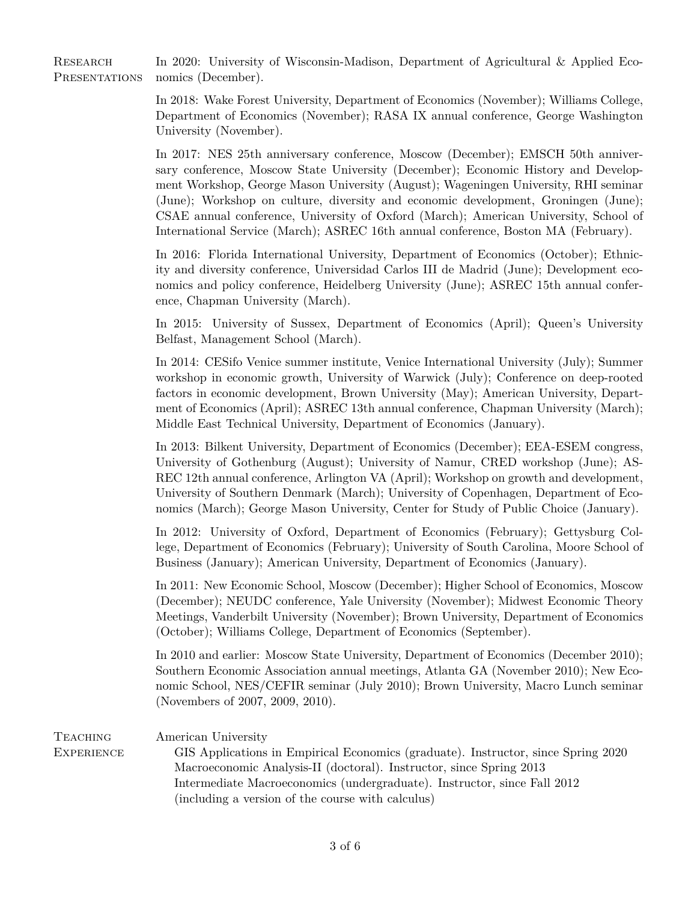RESEARCH In 2020: University of Wisconsin-Madison, Department of Agricultural & Applied Eco-PRESENTATIONS nomics (December).

> In 2018: Wake Forest University, Department of Economics (November); Williams College, Department of Economics (November); RASA IX annual conference, George Washington University (November).

> In 2017: NES 25th anniversary conference, Moscow (December); EMSCH 50th anniversary conference, Moscow State University (December); Economic History and Development Workshop, George Mason University (August); Wageningen University, RHI seminar (June); Workshop on culture, diversity and economic development, Groningen (June); CSAE annual conference, University of Oxford (March); American University, School of International Service (March); ASREC 16th annual conference, Boston MA (February).

> In 2016: Florida International University, Department of Economics (October); Ethnicity and diversity conference, Universidad Carlos III de Madrid (June); Development economics and policy conference, Heidelberg University (June); ASREC 15th annual conference, Chapman University (March).

> In 2015: University of Sussex, Department of Economics (April); Queen's University Belfast, Management School (March).

> In 2014: CESifo Venice summer institute, Venice International University (July); Summer workshop in economic growth, University of Warwick (July); Conference on deep-rooted factors in economic development, Brown University (May); American University, Department of Economics (April); ASREC 13th annual conference, Chapman University (March); Middle East Technical University, Department of Economics (January).

> In 2013: Bilkent University, Department of Economics (December); EEA-ESEM congress, University of Gothenburg (August); University of Namur, CRED workshop (June); AS-REC 12th annual conference, Arlington VA (April); Workshop on growth and development, University of Southern Denmark (March); University of Copenhagen, Department of Economics (March); George Mason University, Center for Study of Public Choice (January).

> In 2012: University of Oxford, Department of Economics (February); Gettysburg College, Department of Economics (February); University of South Carolina, Moore School of Business (January); American University, Department of Economics (January).

> In 2011: New Economic School, Moscow (December); Higher School of Economics, Moscow (December); NEUDC conference, Yale University (November); Midwest Economic Theory Meetings, Vanderbilt University (November); Brown University, Department of Economics (October); Williams College, Department of Economics (September).

> In 2010 and earlier: Moscow State University, Department of Economics (December 2010); Southern Economic Association annual meetings, Atlanta GA (November 2010); New Economic School, NES/CEFIR seminar (July 2010); Brown University, Macro Lunch seminar (Novembers of 2007, 2009, 2010).

| TEACHING   | American University                                                               |
|------------|-----------------------------------------------------------------------------------|
| EXPERIENCE | GIS Applications in Empirical Economics (graduate). Instructor, since Spring 2020 |
|            | Macroeconomic Analysis-II (doctoral). Instructor, since Spring 2013               |
|            | Intermediate Macroeconomics (undergraduate). Instructor, since Fall 2012          |
|            | (including a version of the course with calculus)                                 |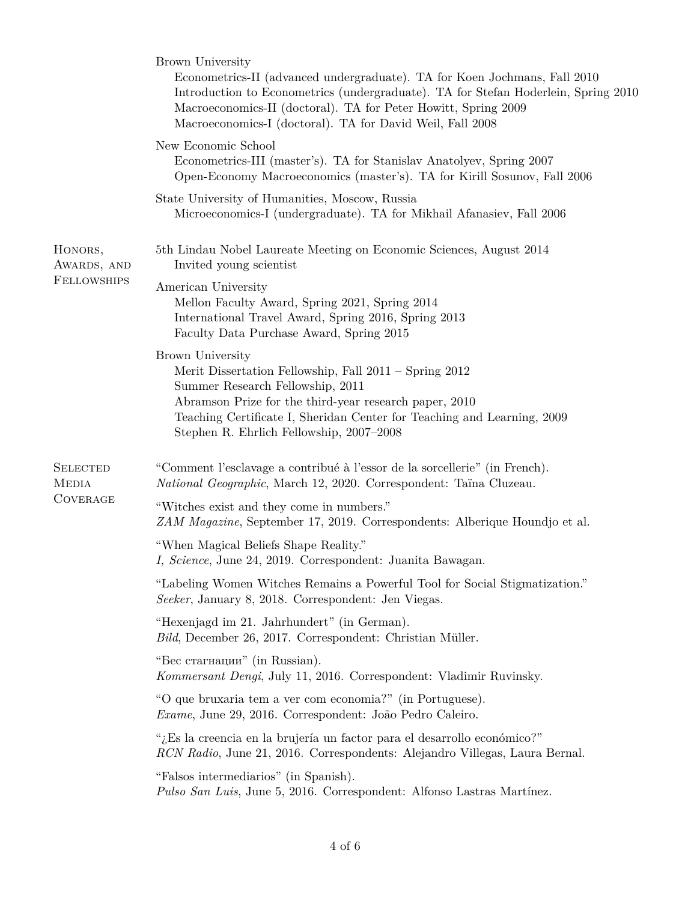|                                                    | Brown University<br>Econometrics-II (advanced undergraduate). TA for Koen Jochmans, Fall 2010<br>Introduction to Econometrics (undergraduate). TA for Stefan Hoderlein, Spring 2010<br>Macroeconomics-II (doctoral). TA for Peter Howitt, Spring 2009<br>Macroeconomics-I (doctoral). TA for David Weil, Fall 2008 |
|----------------------------------------------------|--------------------------------------------------------------------------------------------------------------------------------------------------------------------------------------------------------------------------------------------------------------------------------------------------------------------|
|                                                    | New Economic School<br>Econometrics-III (master's). TA for Stanislav Anatolyev, Spring 2007<br>Open-Economy Macroeconomics (master's). TA for Kirill Sosunov, Fall 2006                                                                                                                                            |
|                                                    | State University of Humanities, Moscow, Russia<br>Microeconomics-I (undergraduate). TA for Mikhail Afanasiev, Fall 2006                                                                                                                                                                                            |
| HONORS,<br>AWARDS, AND<br><b>FELLOWSHIPS</b>       | 5th Lindau Nobel Laureate Meeting on Economic Sciences, August 2014<br>Invited young scientist                                                                                                                                                                                                                     |
|                                                    | American University<br>Mellon Faculty Award, Spring 2021, Spring 2014<br>International Travel Award, Spring 2016, Spring 2013<br>Faculty Data Purchase Award, Spring 2015                                                                                                                                          |
|                                                    | Brown University<br>Merit Dissertation Fellowship, Fall $2011 -$ Spring $2012$<br>Summer Research Fellowship, 2011<br>Abramson Prize for the third-year research paper, 2010<br>Teaching Certificate I, Sheridan Center for Teaching and Learning, 2009<br>Stephen R. Ehrlich Fellowship, 2007-2008                |
| <b>SELECTED</b><br><b>MEDIA</b><br><b>COVERAGE</b> | "Comment l'esclavage a contribué à l'essor de la sorcellerie" (in French).<br>National Geographic, March 12, 2020. Correspondent: Taïna Cluzeau.                                                                                                                                                                   |
|                                                    | "Witches exist and they come in numbers."<br>ZAM Magazine, September 17, 2019. Correspondents: Alberique Houndjo et al.                                                                                                                                                                                            |
|                                                    | "When Magical Beliefs Shape Reality."<br>I, Science, June 24, 2019. Correspondent: Juanita Bawagan.                                                                                                                                                                                                                |
|                                                    | "Labeling Women Witches Remains a Powerful Tool for Social Stigmatization."<br>Seeker, January 8, 2018. Correspondent: Jen Viegas.                                                                                                                                                                                 |
|                                                    | "Hexenjagd im 21. Jahrhundert" (in German).<br>Bild, December 26, 2017. Correspondent: Christian Müller.                                                                                                                                                                                                           |
|                                                    | "Бес стагнации" (in Russian).<br>Kommersant Dengi, July 11, 2016. Correspondent: Vladimir Ruvinsky.                                                                                                                                                                                                                |
|                                                    | "O que bruxaria tem a ver com economia?" (in Portuguese).<br>Exame, June 29, 2016. Correspondent: João Pedro Caleiro.                                                                                                                                                                                              |
|                                                    | "¿Es la creencia en la brujería un factor para el desarrollo económico?"<br>RCN Radio, June 21, 2016. Correspondents: Alejandro Villegas, Laura Bernal.                                                                                                                                                            |
|                                                    | "Falsos intermediarios" (in Spanish).<br>Pulso San Luis, June 5, 2016. Correspondent: Alfonso Lastras Martínez.                                                                                                                                                                                                    |
|                                                    |                                                                                                                                                                                                                                                                                                                    |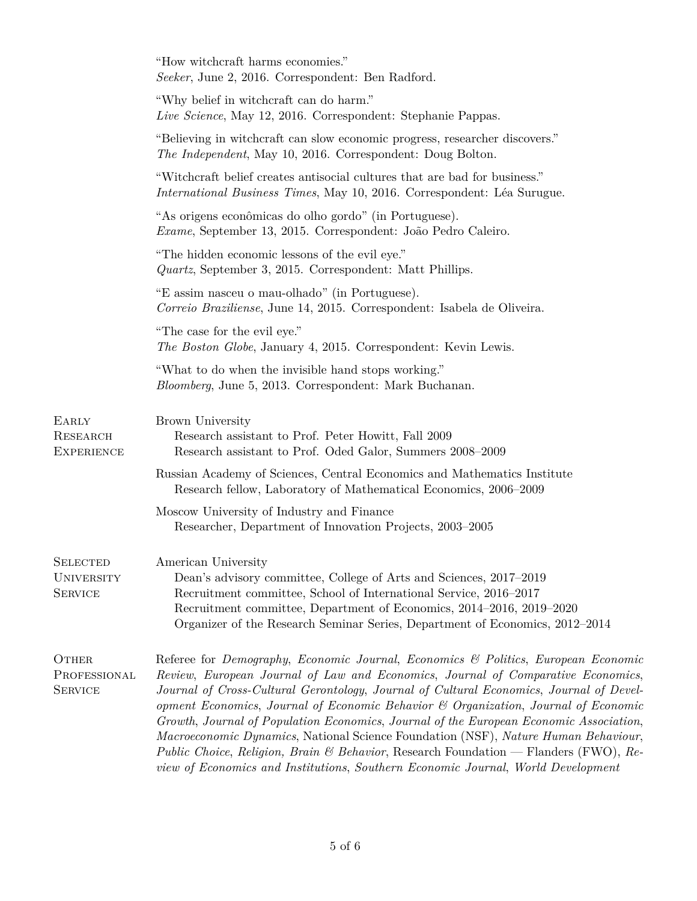|                                                        | "How witchcraft harms economies."<br>Seeker, June 2, 2016. Correspondent: Ben Radford.                                                                                                                                                                                                                                                                                                                                                                                                                                                                                                                                                                                                                                                |
|--------------------------------------------------------|---------------------------------------------------------------------------------------------------------------------------------------------------------------------------------------------------------------------------------------------------------------------------------------------------------------------------------------------------------------------------------------------------------------------------------------------------------------------------------------------------------------------------------------------------------------------------------------------------------------------------------------------------------------------------------------------------------------------------------------|
|                                                        | "Why belief in witchcraft can do harm."<br>Live Science, May 12, 2016. Correspondent: Stephanie Pappas.                                                                                                                                                                                                                                                                                                                                                                                                                                                                                                                                                                                                                               |
|                                                        | "Believing in witchcraft can slow economic progress, researcher discovers."<br>The Independent, May 10, 2016. Correspondent: Doug Bolton.                                                                                                                                                                                                                                                                                                                                                                                                                                                                                                                                                                                             |
|                                                        | "Witchcraft belief creates antisocial cultures that are bad for business."<br><i>International Business Times, May 10, 2016. Correspondent: Léa Surugue.</i>                                                                                                                                                                                                                                                                                                                                                                                                                                                                                                                                                                          |
|                                                        | "As origens econômicas do olho gordo" (in Portuguese).<br>Exame, September 13, 2015. Correspondent: João Pedro Caleiro.                                                                                                                                                                                                                                                                                                                                                                                                                                                                                                                                                                                                               |
|                                                        | "The hidden economic lessons of the evil eye."<br><i>Quartz</i> , September 3, 2015. Correspondent: Matt Phillips.                                                                                                                                                                                                                                                                                                                                                                                                                                                                                                                                                                                                                    |
|                                                        | "E assim nasceu o mau-olhado" (in Portuguese).<br>Correio Braziliense, June 14, 2015. Correspondent: Isabela de Oliveira.                                                                                                                                                                                                                                                                                                                                                                                                                                                                                                                                                                                                             |
|                                                        | "The case for the evil eye."<br>The Boston Globe, January 4, 2015. Correspondent: Kevin Lewis.                                                                                                                                                                                                                                                                                                                                                                                                                                                                                                                                                                                                                                        |
|                                                        | "What to do when the invisible hand stops working."<br>Bloomberg, June 5, 2013. Correspondent: Mark Buchanan.                                                                                                                                                                                                                                                                                                                                                                                                                                                                                                                                                                                                                         |
| EARLY<br><b>RESEARCH</b><br><b>EXPERIENCE</b>          | Brown University<br>Research assistant to Prof. Peter Howitt, Fall 2009<br>Research assistant to Prof. Oded Galor, Summers 2008-2009                                                                                                                                                                                                                                                                                                                                                                                                                                                                                                                                                                                                  |
|                                                        | Russian Academy of Sciences, Central Economics and Mathematics Institute<br>Research fellow, Laboratory of Mathematical Economics, 2006–2009                                                                                                                                                                                                                                                                                                                                                                                                                                                                                                                                                                                          |
|                                                        | Moscow University of Industry and Finance<br>Researcher, Department of Innovation Projects, 2003-2005                                                                                                                                                                                                                                                                                                                                                                                                                                                                                                                                                                                                                                 |
| <b>SELECTED</b><br><b>UNIVERSITY</b><br><b>SERVICE</b> | American University<br>Dean's advisory committee, College of Arts and Sciences, 2017–2019<br>Recruitment committee, School of International Service, 2016–2017<br>Recruitment committee, Department of Economics, 2014–2016, 2019–2020<br>Organizer of the Research Seminar Series, Department of Economics, 2012–2014                                                                                                                                                                                                                                                                                                                                                                                                                |
| <b>OTHER</b><br>PROFESSIONAL<br><b>SERVICE</b>         | Referee for Demography, Economic Journal, Economics & Politics, European Economic<br>Review, European Journal of Law and Economics, Journal of Comparative Economics,<br>Journal of Cross-Cultural Gerontology, Journal of Cultural Economics, Journal of Devel-<br>opment Economics, Journal of Economic Behavior & Organization, Journal of Economic<br>Growth, Journal of Population Economics, Journal of the European Economic Association,<br><i>Macroeconomic Dynamics</i> , National Science Foundation (NSF), Nature Human Behaviour,<br><i>Public Choice, Religion, Brain &amp; Behavior, Research Foundation — Flanders (FWO), Re-</i><br>view of Economics and Institutions, Southern Economic Journal, World Development |